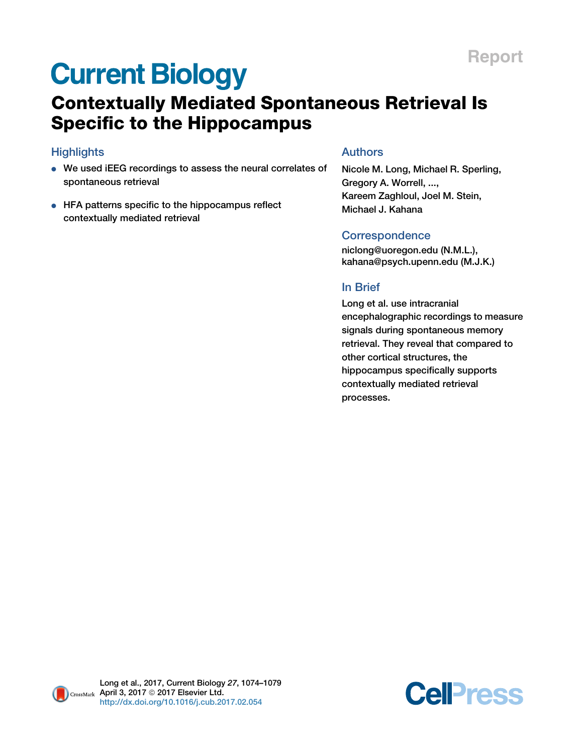# **Current Biology**

# Contextually Mediated Spontaneous Retrieval Is Specific to the Hippocampus

# **Highlights**

- <sup>d</sup> We used iEEG recordings to assess the neural correlates of spontaneous retrieval
- HFA patterns specific to the hippocampus reflect contextually mediated retrieval

## Authors

Nicole M. Long, Michael R. Sperling, Gregory A. Worrell, ..., Kareem Zaghloul, Joel M. Stein, Michael J. Kahana

### **Correspondence**

[niclong@uoregon.edu](mailto:niclong@uoregon.edu) (N.M.L.), [kahana@psych.upenn.edu](mailto:kahana@psych.upenn.edu) (M.J.K.)

### In Brief

Long et al. use intracranial encephalographic recordings to measure signals during spontaneous memory retrieval. They reveal that compared to other cortical structures, the hippocampus specifically supports contextually mediated retrieval processes.

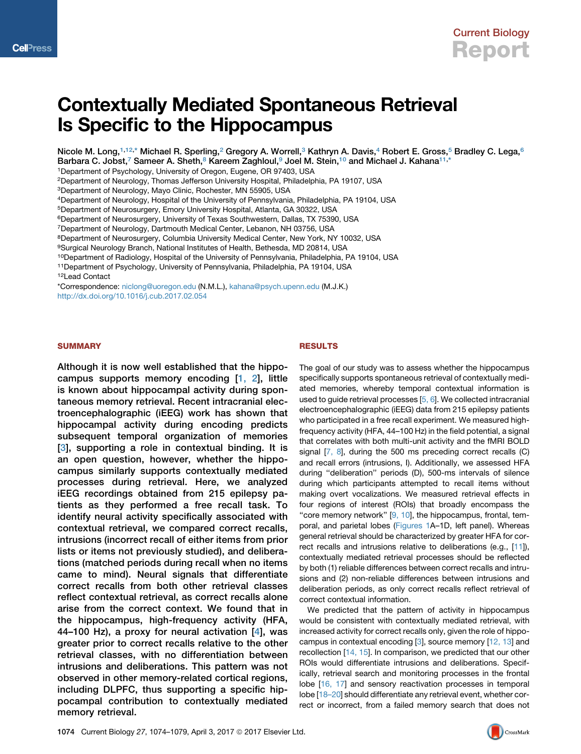

# Contextually Mediated Spontaneous Retrieval Is Specific to the Hippocampus

Nicole M. Long,<sup>[1](#page-1-0)[,12,](#page-1-1)</sup>[\\*](#page-1-2) Michael R. Sperling,<sup>[2](#page-1-3)</sup> Gregory A. Worrell,<sup>[3](#page-1-4)</sup> Kathryn A. Davis,<sup>[4](#page-1-5)</sup> Robert E. Gross,<sup>[5](#page-1-6)</sup> Bradley C. Lega,<sup>[6](#page-1-7)</sup> Barbara C. Jobst,<sup>[7](#page-1-8)</sup> Sameer A. Sheth,<sup>[8](#page-1-9)</sup> Kareem Zaghloul,<sup>[9](#page-1-10)</sup> Joel M. Stein,<sup>[10](#page-1-11)</sup> and Michael J. Kahana<sup>[11,](#page-1-12)\*</sup>

<span id="page-1-0"></span>1Department of Psychology, University of Oregon, Eugene, OR 97403, USA

<span id="page-1-3"></span>2Department of Neurology, Thomas Jefferson University Hospital, Philadelphia, PA 19107, USA

<span id="page-1-4"></span>3Department of Neurology, Mayo Clinic, Rochester, MN 55905, USA

<span id="page-1-5"></span>4Department of Neurology, Hospital of the University of Pennsylvania, Philadelphia, PA 19104, USA

<span id="page-1-6"></span>5Department of Neurosurgery, Emory University Hospital, Atlanta, GA 30322, USA

<span id="page-1-7"></span>6Department of Neurosurgery, University of Texas Southwestern, Dallas, TX 75390, USA

<span id="page-1-8"></span>7Department of Neurology, Dartmouth Medical Center, Lebanon, NH 03756, USA

<span id="page-1-9"></span><sup>8</sup>Department of Neurosurgery, Columbia University Medical Center, New York, NY 10032, USA

<span id="page-1-10"></span>9Surgical Neurology Branch, National Institutes of Health, Bethesda, MD 20814, USA

<span id="page-1-11"></span>10Department of Radiology, Hospital of the University of Pennsylvania, Philadelphia, PA 19104, USA

<span id="page-1-12"></span>11Department of Psychology, University of Pennsylvania, Philadelphia, PA 19104, USA

<span id="page-1-1"></span>12Lead Contact

<span id="page-1-2"></span>\*Correspondence: [niclong@uoregon.edu](mailto:niclong@uoregon.edu) (N.M.L.), [kahana@psych.upenn.edu](mailto:kahana@psych.upenn.edu) (M.J.K.) <http://dx.doi.org/10.1016/j.cub.2017.02.054>

#### **SUMMARY**

Although it is now well established that the hippocampus supports memory encoding [\[1, 2](#page-5-0)], little is known about hippocampal activity during spontaneous memory retrieval. Recent intracranial electroencephalographic (iEEG) work has shown that hippocampal activity during encoding predicts subsequent temporal organization of memories [[3](#page-5-1)], supporting a role in contextual binding. It is an open question, however, whether the hippocampus similarly supports contextually mediated processes during retrieval. Here, we analyzed iEEG recordings obtained from 215 epilepsy patients as they performed a free recall task. To identify neural activity specifically associated with contextual retrieval, we compared correct recalls, intrusions (incorrect recall of either items from prior lists or items not previously studied), and deliberations (matched periods during recall when no items came to mind). Neural signals that differentiate correct recalls from both other retrieval classes reflect contextual retrieval, as correct recalls alone arise from the correct context. We found that in the hippocampus, high-frequency activity (HFA, 44–100 Hz), a proxy for neural activation [\[4\]](#page-5-2), was greater prior to correct recalls relative to the other retrieval classes, with no differentiation between intrusions and deliberations. This pattern was not observed in other memory-related cortical regions, including DLPFC, thus supporting a specific hippocampal contribution to contextually mediated memory retrieval.

#### RESULTS

The goal of our study was to assess whether the hippocampus specifically supports spontaneous retrieval of contextually mediated memories, whereby temporal contextual information is used to guide retrieval processes [[5, 6\]](#page-5-3). We collected intracranial electroencephalographic (iEEG) data from 215 epilepsy patients who participated in a free recall experiment. We measured highfrequency activity (HFA, 44–100 Hz) in the field potential, a signal that correlates with both multi-unit activity and the fMRI BOLD signal  $[7, 8]$  $[7, 8]$  $[7, 8]$ , during the 500 ms preceding correct recalls  $(C)$ and recall errors (intrusions, I). Additionally, we assessed HFA during ''deliberation'' periods (D), 500-ms intervals of silence during which participants attempted to recall items without making overt vocalizations. We measured retrieval effects in four regions of interest (ROIs) that broadly encompass the "core memory network" [[9, 10\]](#page-5-5), the hippocampus, frontal, temporal, and parietal lobes ([Figures 1A](#page-2-0)–1D, left panel). Whereas general retrieval should be characterized by greater HFA for correct recalls and intrusions relative to deliberations (e.g., [[11](#page-5-6)]), contextually mediated retrieval processes should be reflected by both (1) reliable differences between correct recalls and intrusions and (2) non-reliable differences between intrusions and deliberation periods, as only correct recalls reflect retrieval of correct contextual information.

We predicted that the pattern of activity in hippocampus would be consistent with contextually mediated retrieval, with increased activity for correct recalls only, given the role of hippocampus in contextual encoding [\[3\]](#page-5-1), source memory [\[12, 13](#page-5-7)] and recollection [[14, 15](#page-5-8)]. In comparison, we predicted that our other ROIs would differentiate intrusions and deliberations. Specifically, retrieval search and monitoring processes in the frontal lobe [\[16, 17\]](#page-5-9) and sensory reactivation processes in temporal lobe [18-20] should differentiate any retrieval event, whether correct or incorrect, from a failed memory search that does not

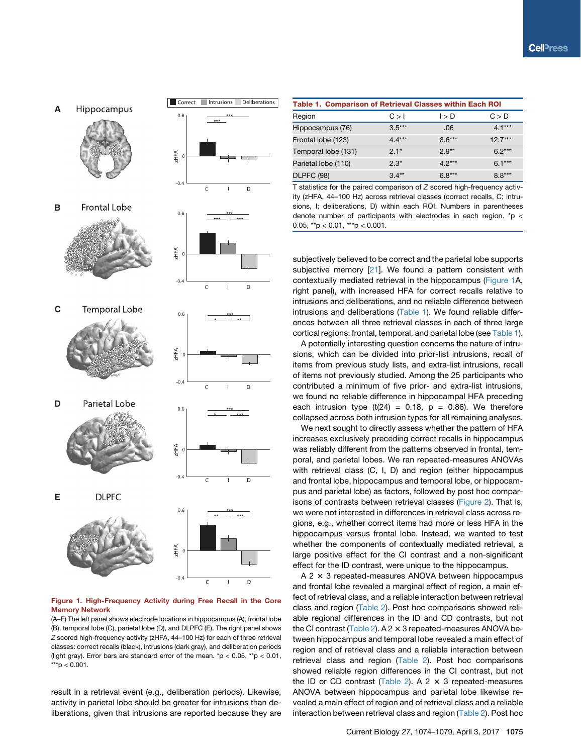<span id="page-2-0"></span>**A** Hippocampus



**B Frontal Lobe** 



**D** Parietal Lobe



**E DLPFC** 





Correct Intrusions Deliberations

 $0.6$ 

Figure 1. High-Frequency Activity during Free Recall in the Core Memory Network

 $-0.4$ 

 $\epsilon$ 

D

 $\mathbf{I}$ 

(A–E) The left panel shows electrode locations in hippocampus (A), frontal lobe (B), temporal lobe (C), parietal lobe (D), and DLPFC (E). The right panel shows *Z* scored high-frequency activity (zHFA, 44–100 Hz) for each of three retrieval classes: correct recalls (black), intrusions (dark gray), and deliberation periods (light gray). Error bars are standard error of the mean. \*p <  $0.05$ , \*\*p <  $0.01$ ,  $***p < 0.001$ .

result in a retrieval event (e.g., deliberation periods). Likewise, activity in parietal lobe should be greater for intrusions than deliberations, given that intrusions are reported because they are

<span id="page-2-1"></span>

| <b>Table 1. Comparison of Retrieval Classes within Each ROI</b> |          |          |           |  |  |  |  |  |
|-----------------------------------------------------------------|----------|----------|-----------|--|--|--|--|--|
| Region                                                          | C > 1    | l > D    | C > D     |  |  |  |  |  |
| Hippocampus (76)                                                | $3.5***$ | .06      | $4.1***$  |  |  |  |  |  |
| Frontal lobe (123)                                              | $4.4***$ | $8.6***$ | $12.7***$ |  |  |  |  |  |
| Temporal lobe (131)                                             | $2.1*$   | $2.9**$  | $6.2***$  |  |  |  |  |  |
| Parietal lobe (110)                                             | $2.3*$   | $4.2***$ | $6.1***$  |  |  |  |  |  |
| <b>DLPFC (98)</b>                                               | $3.4**$  | $6.8***$ | $8.8***$  |  |  |  |  |  |

T statistics for the paired comparison of *Z* scored high-frequency activity (zHFA, 44–100 Hz) across retrieval classes (correct recalls, C; intrusions, I; deliberations, D) within each ROI. Numbers in parentheses denote number of participants with electrodes in each region. \*p < 0.05, \*\*p < 0.01, \*\*\*p < 0.001.

subjectively believed to be correct and the parietal lobe supports subjective memory [[21](#page-5-11)]. We found a pattern consistent with contextually mediated retrieval in the hippocampus [\(Figure 1](#page-2-0)A, right panel), with increased HFA for correct recalls relative to intrusions and deliberations, and no reliable difference between intrusions and deliberations ([Table 1](#page-2-1)). We found reliable differences between all three retrieval classes in each of three large cortical regions: frontal, temporal, and parietal lobe (see [Table 1\)](#page-2-1).

A potentially interesting question concerns the nature of intrusions, which can be divided into prior-list intrusions, recall of items from previous study lists, and extra-list intrusions, recall of items not previously studied. Among the 25 participants who contributed a minimum of five prior- and extra-list intrusions, we found no reliable difference in hippocampal HFA preceding each intrusion type  $(t(24) = 0.18, p = 0.86)$ . We therefore collapsed across both intrusion types for all remaining analyses.

We next sought to directly assess whether the pattern of HFA increases exclusively preceding correct recalls in hippocampus was reliably different from the patterns observed in frontal, temporal, and parietal lobes. We ran repeated-measures ANOVAs with retrieval class (C, I, D) and region (either hippocampus and frontal lobe, hippocampus and temporal lobe, or hippocampus and parietal lobe) as factors, followed by post hoc comparisons of contrasts between retrieval classes ([Figure 2\)](#page-3-0). That is, we were not interested in differences in retrieval class across regions, e.g., whether correct items had more or less HFA in the hippocampus versus frontal lobe. Instead, we wanted to test whether the components of contextually mediated retrieval, a large positive effect for the CI contrast and a non-significant effect for the ID contrast, were unique to the hippocampus.

 $A$  2  $\times$  3 repeated-measures ANOVA between hippocampus and frontal lobe revealed a marginal effect of region, a main effect of retrieval class, and a reliable interaction between retrieval class and region [\(Table 2](#page-3-1)). Post hoc comparisons showed reliable regional differences in the ID and CD contrasts, but not the CI contrast ([Table 2\)](#page-3-1). A  $2 \times 3$  repeated-measures ANOVA between hippocampus and temporal lobe revealed a main effect of region and of retrieval class and a reliable interaction between retrieval class and region [\(Table 2\)](#page-3-1). Post hoc comparisons showed reliable region differences in the CI contrast, but not the ID or CD contrast [\(Table 2\)](#page-3-1). A 2  $\times$  3 repeated-measures ANOVA between hippocampus and parietal lobe likewise revealed a main effect of region and of retrieval class and a reliable interaction between retrieval class and region ([Table 2\)](#page-3-1). Post hoc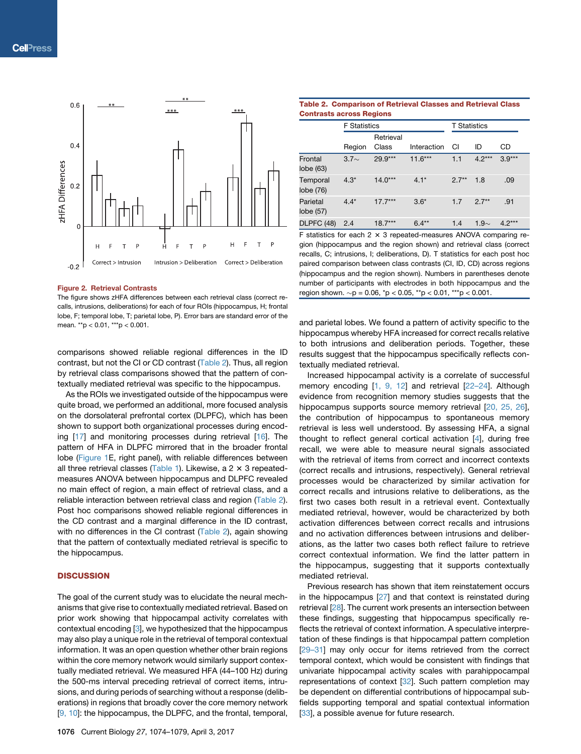<span id="page-3-0"></span>

#### Figure 2. Retrieval Contrasts

The figure shows zHFA differences between each retrieval class (correct recalls, intrusions, deliberations) for each of four ROIs (hippocampus, H; frontal lobe, F; temporal lobe, T; parietal lobe, P). Error bars are standard error of the mean. \*\*p < 0.01, \*\*\*p < 0.001.

comparisons showed reliable regional differences in the ID contrast, but not the CI or CD contrast ([Table 2](#page-3-1)). Thus, all region by retrieval class comparisons showed that the pattern of contextually mediated retrieval was specific to the hippocampus.

As the ROIs we investigated outside of the hippocampus were quite broad, we performed an additional, more focused analysis on the dorsolateral prefrontal cortex (DLPFC), which has been shown to support both organizational processes during encod-ing [[17](#page-5-12)] and monitoring processes during retrieval [\[16\]](#page-5-9). The pattern of HFA in DLPFC mirrored that in the broader frontal lobe [\(Figure 1E](#page-2-0), right panel), with reliable differences between all three retrieval classes ([Table 1](#page-2-1)). Likewise, a  $2 \times 3$  repeatedmeasures ANOVA between hippocampus and DLPFC revealed no main effect of region, a main effect of retrieval class, and a reliable interaction between retrieval class and region [\(Table 2](#page-3-1)). Post hoc comparisons showed reliable regional differences in the CD contrast and a marginal difference in the ID contrast, with no differences in the CI contrast ([Table 2](#page-3-1)), again showing that the pattern of contextually mediated retrieval is specific to the hippocampus.

#### **DISCUSSION**

The goal of the current study was to elucidate the neural mechanisms that give rise to contextually mediated retrieval. Based on prior work showing that hippocampal activity correlates with contextual encoding [\[3](#page-5-1)], we hypothesized that the hippocampus may also play a unique role in the retrieval of temporal contextual information. It was an open question whether other brain regions within the core memory network would similarly support contextually mediated retrieval. We measured HFA (44–100 Hz) during the 500-ms interval preceding retrieval of correct items, intrusions, and during periods of searching without a response (deliberations) in regions that broadly cover the core memory network [[9, 10\]](#page-5-5): the hippocampus, the DLPFC, and the frontal, temporal,

<span id="page-3-1"></span>

|                                 | <b>Table 2. Comparison of Retrieval Classes and Retrieval Class</b> |
|---------------------------------|---------------------------------------------------------------------|
| <b>Contrasts across Regions</b> |                                                                     |

|                       | <b>F</b> Statistics |                    |             | <b>T</b> Statistics |            |          |
|-----------------------|---------------------|--------------------|-------------|---------------------|------------|----------|
|                       | Region              | Retrieval<br>Class | Interaction | CI                  | ID         | CD       |
| Frontal<br>lobe (63)  | $3.7\sim$           | 29.9***            | $11.6***$   | 1.1                 | $4.2***$   | $3.9***$ |
| Temporal<br>lobe (76) | $4.3*$              | $14.0***$          | $4.1*$      | $2.7**$             | 1.8        | .09      |
| Parietal<br>lobe (57) | $4.4*$              | $17.7***$          | $3.6*$      | 1.7                 | $2.7**$    | .91      |
| DLPFC (48)            | 2.4                 | $18.7***$          | $6.4**$     | 1.4                 | 1.9 $\sim$ | $4.2***$ |

F statistics for each 2  $\times$  3 repeated-measures ANOVA comparing region (hippocampus and the region shown) and retrieval class (correct recalls, C; intrusions, I; deliberations, D). T statistics for each post hoc paired comparison between class contrasts (CI, ID, CD) across regions (hippocampus and the region shown). Numbers in parentheses denote number of participants with electrodes in both hippocampus and the region shown.  $\sim p = 0.06$ , \*p < 0.05, \*\*p < 0.01, \*\*\*p < 0.001.

and parietal lobes. We found a pattern of activity specific to the hippocampus whereby HFA increased for correct recalls relative to both intrusions and deliberation periods. Together, these results suggest that the hippocampus specifically reflects contextually mediated retrieval.

Increased hippocampal activity is a correlate of successful memory encoding [[1, 9, 12](#page-5-0)] and retrieval [\[22–24\]](#page-5-13). Although evidence from recognition memory studies suggests that the hippocampus supports source memory retrieval [[20, 25, 26](#page-5-14)], the contribution of hippocampus to spontaneous memory retrieval is less well understood. By assessing HFA, a signal thought to reflect general cortical activation [\[4\]](#page-5-2), during free recall, we were able to measure neural signals associated with the retrieval of items from correct and incorrect contexts (correct recalls and intrusions, respectively). General retrieval processes would be characterized by similar activation for correct recalls and intrusions relative to deliberations, as the first two cases both result in a retrieval event. Contextually mediated retrieval, however, would be characterized by both activation differences between correct recalls and intrusions and no activation differences between intrusions and deliberations, as the latter two cases both reflect failure to retrieve correct contextual information. We find the latter pattern in the hippocampus, suggesting that it supports contextually mediated retrieval.

Previous research has shown that item reinstatement occurs in the hippocampus  $[27]$  and that context is reinstated during retrieval [[28](#page-6-0)]. The current work presents an intersection between these findings, suggesting that hippocampus specifically reflects the retrieval of context information. A speculative interpretation of these findings is that hippocampal pattern completion [\[29–31\]](#page-6-1) may only occur for items retrieved from the correct temporal context, which would be consistent with findings that univariate hippocampal activity scales with parahippocampal representations of context [[32](#page-6-2)]. Such pattern completion may be dependent on differential contributions of hippocampal subfields supporting temporal and spatial contextual information [\[33](#page-6-3)], a possible avenue for future research.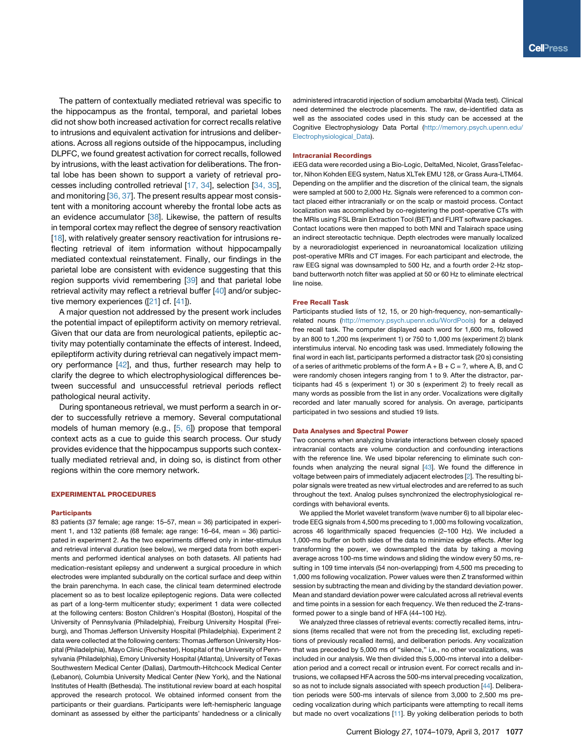The pattern of contextually mediated retrieval was specific to the hippocampus as the frontal, temporal, and parietal lobes did not show both increased activation for correct recalls relative to intrusions and equivalent activation for intrusions and deliberations. Across all regions outside of the hippocampus, including DLPFC, we found greatest activation for correct recalls, followed by intrusions, with the least activation for deliberations. The frontal lobe has been shown to support a variety of retrieval processes including controlled retrieval [\[17, 34\]](#page-5-12), selection [[34, 35\]](#page-6-4), and monitoring [\[36, 37](#page-6-5)]. The present results appear most consistent with a monitoring account whereby the frontal lobe acts as an evidence accumulator [[38\]](#page-6-6). Likewise, the pattern of results in temporal cortex may reflect the degree of sensory reactivation [\[18\]](#page-5-10), with relatively greater sensory reactivation for intrusions reflecting retrieval of item information without hippocampally mediated contextual reinstatement. Finally, our findings in the parietal lobe are consistent with evidence suggesting that this region supports vivid remembering [[39](#page-6-7)] and that parietal lobe retrieval activity may reflect a retrieval buffer [\[40\]](#page-6-8) and/or subjective memory experiences ([[21](#page-5-11)] cf. [[41](#page-6-9)]).

A major question not addressed by the present work includes the potential impact of epileptiform activity on memory retrieval. Given that our data are from neurological patients, epileptic activity may potentially contaminate the effects of interest. Indeed, epileptiform activity during retrieval can negatively impact memory performance [[42](#page-6-10)], and thus, further research may help to clarify the degree to which electrophysiological differences between successful and unsuccessful retrieval periods reflect pathological neural activity.

During spontaneous retrieval, we must perform a search in order to successfully retrieve a memory. Several computational models of human memory (e.g., [[5, 6](#page-5-3)]) propose that temporal context acts as a cue to guide this search process. Our study provides evidence that the hippocampus supports such contextually mediated retrieval and, in doing so, is distinct from other regions within the core memory network.

#### EXPERIMENTAL PROCEDURES

#### **Participants**

83 patients (37 female; age range: 15–57, mean = 36) participated in experiment 1, and 132 patients (68 female; age range: 16–64, mean = 36) participated in experiment 2. As the two experiments differed only in inter-stimulus and retrieval interval duration (see below), we merged data from both experiments and performed identical analyses on both datasets. All patients had medication-resistant epilepsy and underwent a surgical procedure in which electrodes were implanted subdurally on the cortical surface and deep within the brain parenchyma. In each case, the clinical team determined electrode placement so as to best localize epileptogenic regions. Data were collected as part of a long-term multicenter study; experiment 1 data were collected at the following centers: Boston Children's Hospital (Boston), Hospital of the University of Pennsylvania (Philadelphia), Freiburg University Hospital (Freiburg), and Thomas Jefferson University Hospital (Philadelphia). Experiment 2 data were collected at the following centers: Thomas Jefferson University Hospital (Philadelphia), Mayo Clinic (Rochester), Hospital of the University of Pennsylvania (Philadelphia), Emory University Hospital (Atlanta), University of Texas Southwestern Medical Center (Dallas), Dartmouth-Hitchcock Medical Center (Lebanon), Columbia University Medical Center (New York), and the National Institutes of Health (Bethesda). The institutional review board at each hospital approved the research protocol. We obtained informed consent from the participants or their guardians. Participants were left-hemispheric language dominant as assessed by either the participants' handedness or a clinically

administered intracarotid injection of sodium amobarbital (Wada test). Clinical need determined the electrode placements. The raw, de-identified data as well as the associated codes used in this study can be accessed at the Cognitive Electrophysiology Data Portal [\(http://memory.psych.upenn.edu/](http://memory.psych.upenn.edu/Electrophysiological_Data) [Electrophysiological\\_Data\)](http://memory.psych.upenn.edu/Electrophysiological_Data).

#### Intracranial Recordings

iEEG data were recorded using a Bio-Logic, DeltaMed, Nicolet, GrassTelefactor, Nihon Kohden EEG system, Natus XLTek EMU 128, or Grass Aura-LTM64. Depending on the amplifier and the discretion of the clinical team, the signals were sampled at 500 to 2,000 Hz. Signals were referenced to a common contact placed either intracranially or on the scalp or mastoid process. Contact localization was accomplished by co-registering the post-operative CTs with the MRIs using FSL Brain Extraction Tool (BET) and FLIRT software packages. Contact locations were then mapped to both MNI and Talairach space using an indirect stereotactic technique. Depth electrodes were manually localized by a neuroradiologist experienced in neuroanatomical localization utilizing post-operative MRIs and CT images. For each participant and electrode, the raw EEG signal was downsampled to 500 Hz, and a fourth order 2-Hz stopband butterworth notch filter was applied at 50 or 60 Hz to eliminate electrical line noise.

#### Free Recall Task

Participants studied lists of 12, 15, or 20 high-frequency, non-semanticallyrelated nouns (<http://memory.psych.upenn.edu/WordPools>) for a delayed free recall task. The computer displayed each word for 1,600 ms, followed by an 800 to 1,200 ms (experiment 1) or 750 to 1,000 ms (experiment 2) blank interstimulus interval. No encoding task was used. Immediately following the final word in each list, participants performed a distractor task (20 s) consisting of a series of arithmetic problems of the form  $A + B + C = ?$ , where A, B, and C were randomly chosen integers ranging from 1 to 9. After the distractor, participants had 45 s (experiment 1) or 30 s (experiment 2) to freely recall as many words as possible from the list in any order. Vocalizations were digitally recorded and later manually scored for analysis. On average, participants participated in two sessions and studied 19 lists.

#### Data Analyses and Spectral Power

Two concerns when analyzing bivariate interactions between closely spaced intracranial contacts are volume conduction and confounding interactions with the reference line. We used bipolar referencing to eliminate such confounds when analyzing the neural signal [[43](#page-6-11)]. We found the difference in voltage between pairs of immediately adjacent electrodes [[2](#page-5-16)]. The resulting bipolar signals were treated as new virtual electrodes and are referred to as such throughout the text. Analog pulses synchronized the electrophysiological recordings with behavioral events.

We applied the Morlet wavelet transform (wave number 6) to all bipolar electrode EEG signals from 4,500 ms preceding to 1,000 ms following vocalization, across 46 logarithmically spaced frequencies (2–100 Hz). We included a 1,000-ms buffer on both sides of the data to minimize edge effects. After log transforming the power, we downsampled the data by taking a moving average across 100-ms time windows and sliding the window every 50 ms, resulting in 109 time intervals (54 non-overlapping) from 4,500 ms preceding to 1,000 ms following vocalization. Power values were then Z transformed within session by subtracting the mean and dividing by the standard deviation power. Mean and standard deviation power were calculated across all retrieval events and time points in a session for each frequency. We then reduced the Z-transformed power to a single band of HFA (44–100 Hz).

We analyzed three classes of retrieval events: correctly recalled items, intrusions (items recalled that were not from the preceding list, excluding repetitions of previously recalled items), and deliberation periods. Any vocalization that was preceded by 5,000 ms of "silence," i.e., no other vocalizations, was included in our analysis. We then divided this 5,000-ms interval into a deliberation period and a correct recall or intrusion event. For correct recalls and intrusions, we collapsed HFA across the 500-ms interval preceding vocalization, so as not to include signals associated with speech production [[44](#page-6-12)]. Deliberation periods were 500-ms intervals of silence from 3,000 to 2,500 ms preceding vocalization during which participants were attempting to recall items but made no overt vocalizations [\[11\]](#page-5-6). By yoking deliberation periods to both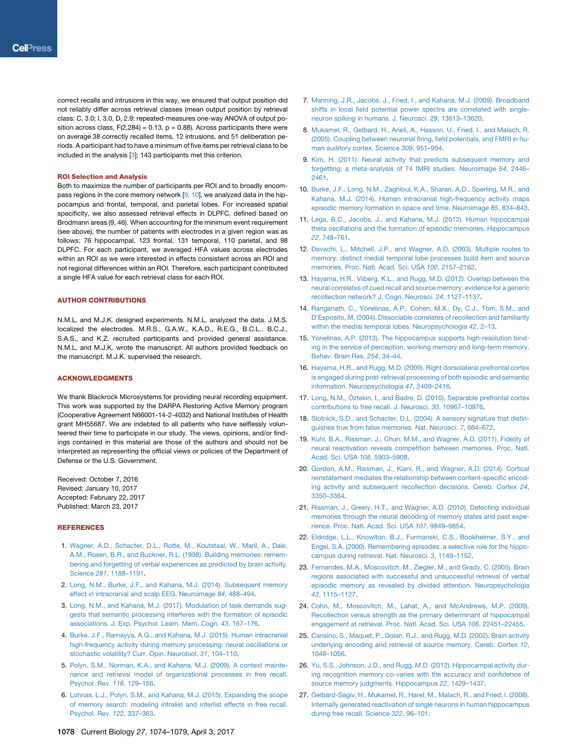correct recalls and intrusions in this way, we ensured that output position did not reliably differ across retrieval classes (mean output position by retrieval class: C, 3.0; I, 3.0, D, 2.9; repeated-measures one-way ANOVA of output position across class,  $F(2,284) = 0.13$ ,  $p = 0.88$ ). Across participants there were on average 38 correctly recalled items, 12 intrusions, and 51 deliberation periods. A participant had to have a minimum of five items per retrieval class to be included in the analysis [\[3](#page-5-1)]; 143 participants met this criterion.

#### ROI Selection and Analysis

Both to maximize the number of participants per ROI and to broadly encompass regions in the core memory network  $[9, 10]$ , we analyzed data in the hippocampus and frontal, temporal, and parietal lobes. For increased spatial specificity, we also assessed retrieval effects in DLPFC, defined based on Brodmann areas (9, 46). When accounting for the minimum event requirement (see above), the number of patients with electrodes in a given region was as follows: 76 hippocampal, 123 frontal, 131 temporal, 110 parietal, and 98 DLPFC. For each participant, we averaged HFA values across electrodes within an ROI as we were interested in effects consistent across an ROI and not regional differences within an ROI. Therefore, each participant contributed a single HFA value for each retrieval class for each ROI.

#### AUTHOR CONTRIBUTIONS

N.M.L. and M.J.K. designed experiments. N.M.L. analyzed the data. J.M.S. localized the electrodes. M.R.S., G.A.W., K.A.D., R.E.G., B.C.L., B.C.J., S.A.S., and K.Z. recruited participants and provided general assistance. N.M.L. and M.J.K. wrote the manuscript. All authors provided feedback on the manuscript. M.J.K. supervised the research.

#### ACKNOWLEDGMENTS

We thank Blackrock Microsystems for providing neural recording equipment. This work was supported by the DARPA Restoring Active Memory program (Cooperative Agreement N66001-14-2-4032) and National Institutes of Health grant MH55687. We are indebted to all patients who have selflessly volunteered their time to participate in our study. The views, opinions, and/or findings contained in this material are those of the authors and should not be interpreted as representing the official views or policies of the Department of Defense or the U.S. Government.

Received: October 7, 2016 Revised: January 10, 2017 Accepted: February 22, 2017 Published: March 23, 2017

#### <span id="page-5-0"></span>REFERENCES

- 1. [Wagner, A.D., Schacter, D.L., Rotte, M., Koutstaal, W., Maril, A., Dale,](http://refhub.elsevier.com/S0960-9822(17)30225-7/sref1) [A.M., Rosen, B.R., and Buckner, R.L. \(1998\). Building memories: remem](http://refhub.elsevier.com/S0960-9822(17)30225-7/sref1)[bering and forgetting of verbal experiences as predicted by brain activity.](http://refhub.elsevier.com/S0960-9822(17)30225-7/sref1) Science *281*[, 1188–1191](http://refhub.elsevier.com/S0960-9822(17)30225-7/sref1).
- <span id="page-5-16"></span><span id="page-5-1"></span>2. [Long, N.M., Burke, J.F., and Kahana, M.J. \(2014\). Subsequent memory](http://refhub.elsevier.com/S0960-9822(17)30225-7/sref2) [effect in intracranial and scalp EEG. Neuroimage](http://refhub.elsevier.com/S0960-9822(17)30225-7/sref2) *84*, 488–494.
- <span id="page-5-2"></span>3. [Long, N.M., and Kahana, M.J. \(2017\). Modulation of task demands sug](http://refhub.elsevier.com/S0960-9822(17)30225-7/sref3)[gests that semantic processing interferes with the formation of episodic](http://refhub.elsevier.com/S0960-9822(17)30225-7/sref3) [associations. J. Exp. Psychol. Learn. Mem. Cogn.](http://refhub.elsevier.com/S0960-9822(17)30225-7/sref3) *43*, 167–176.
- <span id="page-5-3"></span>4. [Burke, J.F., Ramayya, A.G., and Kahana, M.J. \(2015\). Human intracranial](http://refhub.elsevier.com/S0960-9822(17)30225-7/sref4) [high-frequency activity during memory processing: neural oscillations or](http://refhub.elsevier.com/S0960-9822(17)30225-7/sref4) [stochastic volatility? Curr. Opin. Neurobiol.](http://refhub.elsevier.com/S0960-9822(17)30225-7/sref4) *31*, 104–110.
- 5. [Polyn, S.M., Norman, K.A., and Kahana, M.J. \(2009\). A context mainte](http://refhub.elsevier.com/S0960-9822(17)30225-7/sref5)[nance and retrieval model of organizational processes in free recall.](http://refhub.elsevier.com/S0960-9822(17)30225-7/sref5) [Psychol. Rev.](http://refhub.elsevier.com/S0960-9822(17)30225-7/sref5) *116*, 129–156.
- 6. [Lohnas, L.J., Polyn, S.M., and Kahana, M.J. \(2015\). Expanding the scope](http://refhub.elsevier.com/S0960-9822(17)30225-7/sref6) [of memory search: modeling intralist and interlist effects in free recall.](http://refhub.elsevier.com/S0960-9822(17)30225-7/sref6) [Psychol. Rev.](http://refhub.elsevier.com/S0960-9822(17)30225-7/sref6) *122*, 337–363.
- <span id="page-5-4"></span>7. [Manning, J.R., Jacobs, J., Fried, I., and Kahana, M.J. \(2009\). Broadband](http://refhub.elsevier.com/S0960-9822(17)30225-7/sref7) [shifts in local field potential power spectra are correlated with single](http://refhub.elsevier.com/S0960-9822(17)30225-7/sref7)[neuron spiking in humans. J. Neurosci.](http://refhub.elsevier.com/S0960-9822(17)30225-7/sref7) *29*, 13613–13620.
- 8. [Mukamel, R., Gelbard, H., Arieli, A., Hasson, U., Fried, I., and Malach, R.](http://refhub.elsevier.com/S0960-9822(17)30225-7/sref8) [\(2005\). Coupling between neuronal firing, field potentials, and FMRI in hu](http://refhub.elsevier.com/S0960-9822(17)30225-7/sref8)[man auditory cortex. Science](http://refhub.elsevier.com/S0960-9822(17)30225-7/sref8) *309*, 951–954.
- <span id="page-5-5"></span>9. [Kim, H. \(2011\). Neural activity that predicts subsequent memory and](http://refhub.elsevier.com/S0960-9822(17)30225-7/sref9) [forgetting: a meta-analysis of 74 fMRI studies. Neuroimage](http://refhub.elsevier.com/S0960-9822(17)30225-7/sref9) *54*, 2446– [2461](http://refhub.elsevier.com/S0960-9822(17)30225-7/sref9).
- 10. [Burke, J.F., Long, N.M., Zaghloul, K.A., Sharan, A.D., Sperling, M.R., and](http://refhub.elsevier.com/S0960-9822(17)30225-7/sref10) [Kahana, M.J. \(2014\). Human intracranial high-frequency activity maps](http://refhub.elsevier.com/S0960-9822(17)30225-7/sref10) [episodic memory formation in space and time. Neuroimage](http://refhub.elsevier.com/S0960-9822(17)30225-7/sref10) *85*, 834–843.
- <span id="page-5-6"></span>11. [Lega, B.C., Jacobs, J., and Kahana, M.J. \(2012\). Human hippocampal](http://refhub.elsevier.com/S0960-9822(17)30225-7/sref11) [theta oscillations and the formation of episodic memories. Hippocampus](http://refhub.elsevier.com/S0960-9822(17)30225-7/sref11) *22*[, 748–761.](http://refhub.elsevier.com/S0960-9822(17)30225-7/sref11)
- <span id="page-5-7"></span>12. [Davachi, L., Mitchell, J.P., and Wagner, A.D. \(2003\). Multiple routes to](http://refhub.elsevier.com/S0960-9822(17)30225-7/sref12) [memory: distinct medial temporal lobe processes build item and source](http://refhub.elsevier.com/S0960-9822(17)30225-7/sref12) [memories. Proc. Natl. Acad. Sci. USA](http://refhub.elsevier.com/S0960-9822(17)30225-7/sref12) *100*, 2157–2162.
- 13. [Hayama, H.R., Vilberg, K.L., and Rugg, M.D. \(2012\). Overlap between the](http://refhub.elsevier.com/S0960-9822(17)30225-7/sref13) [neural correlates of cued recall and source memory: evidence for a generic](http://refhub.elsevier.com/S0960-9822(17)30225-7/sref13) [recollection network? J. Cogn. Neurosci.](http://refhub.elsevier.com/S0960-9822(17)30225-7/sref13) *24*, 1127–1137.
- <span id="page-5-8"></span>14. [Ranganath, C., Yonelinas, A.P., Cohen, M.X., Dy, C.J., Tom, S.M., and](http://refhub.elsevier.com/S0960-9822(17)30225-7/sref14) [D'Esposito, M. \(2004\). Dissociable correlates of recollection and familiarity](http://refhub.elsevier.com/S0960-9822(17)30225-7/sref14) [within the medial temporal lobes. Neuropsychologia](http://refhub.elsevier.com/S0960-9822(17)30225-7/sref14) *42*, 2–13.
- 15. [Yonelinas, A.P. \(2013\). The hippocampus supports high-resolution bind](http://refhub.elsevier.com/S0960-9822(17)30225-7/sref15)[ing in the service of perception, working memory and long-term memory.](http://refhub.elsevier.com/S0960-9822(17)30225-7/sref15) [Behav. Brain Res.](http://refhub.elsevier.com/S0960-9822(17)30225-7/sref15) *254*, 34–44.
- <span id="page-5-9"></span>16. [Hayama, H.R., and Rugg, M.D. \(2009\). Right dorsolateral prefrontal cortex](http://refhub.elsevier.com/S0960-9822(17)30225-7/sref16) [is engaged during post-retrieval processing of both episodic and semantic](http://refhub.elsevier.com/S0960-9822(17)30225-7/sref16) [information. Neuropsychologia](http://refhub.elsevier.com/S0960-9822(17)30225-7/sref16) *47*, 2409–2416.
- <span id="page-5-12"></span>17. Long, N.M., Ö[ztekin, I., and Badre, D. \(2010\). Separable prefrontal cortex](http://refhub.elsevier.com/S0960-9822(17)30225-7/sref17) [contributions to free recall. J. Neurosci.](http://refhub.elsevier.com/S0960-9822(17)30225-7/sref17) *30*, 10967–10976.
- <span id="page-5-10"></span>18. [Slotnick, S.D., and Schacter, D.L. \(2004\). A sensory signature that distin](http://refhub.elsevier.com/S0960-9822(17)30225-7/sref18)[guishes true from false memories. Nat. Neurosci.](http://refhub.elsevier.com/S0960-9822(17)30225-7/sref18) *7*, 664–672.
- 19. [Kuhl, B.A., Rissman, J., Chun, M.M., and Wagner, A.D. \(2011\). Fidelity of](http://refhub.elsevier.com/S0960-9822(17)30225-7/sref19) [neural reactivation reveals competition between memories. Proc. Natl.](http://refhub.elsevier.com/S0960-9822(17)30225-7/sref19) [Acad. Sci. USA](http://refhub.elsevier.com/S0960-9822(17)30225-7/sref19) *108*, 5903–5908.
- <span id="page-5-14"></span>20. [Gordon, A.M., Rissman, J., Kiani, R., and Wagner, A.D. \(2014\). Cortical](http://refhub.elsevier.com/S0960-9822(17)30225-7/sref20) [reinstatement mediates the relationship between content-specific encod](http://refhub.elsevier.com/S0960-9822(17)30225-7/sref20)[ing activity and subsequent recollection decisions. Cereb. Cortex](http://refhub.elsevier.com/S0960-9822(17)30225-7/sref20) *24*, [3350–3364.](http://refhub.elsevier.com/S0960-9822(17)30225-7/sref20)
- <span id="page-5-11"></span>21. [Rissman, J., Greely, H.T., and Wagner, A.D. \(2010\). Detecting individual](http://refhub.elsevier.com/S0960-9822(17)30225-7/sref21) [memories through the neural decoding of memory states and past expe](http://refhub.elsevier.com/S0960-9822(17)30225-7/sref21)[rience. Proc. Natl. Acad. Sci. USA](http://refhub.elsevier.com/S0960-9822(17)30225-7/sref21) *107*, 9849–9854.
- <span id="page-5-13"></span>22. [Eldridge, L.L., Knowlton, B.J., Furmanski, C.S., Bookheimer, S.Y., and](http://refhub.elsevier.com/S0960-9822(17)30225-7/sref22) [Engel, S.A. \(2000\). Remembering episodes: a selective role for the hippo](http://refhub.elsevier.com/S0960-9822(17)30225-7/sref22)[campus during retrieval. Nat. Neurosci.](http://refhub.elsevier.com/S0960-9822(17)30225-7/sref22) *3*, 1149–1152.
- 23. [Fernandes, M.A., Moscovitch, M., Ziegler, M., and Grady, C. \(2005\). Brain](http://refhub.elsevier.com/S0960-9822(17)30225-7/sref23) [regions associated with successful and unsuccessful retrieval of verbal](http://refhub.elsevier.com/S0960-9822(17)30225-7/sref23) [episodic memory as revealed by divided attention. Neuropsychologia](http://refhub.elsevier.com/S0960-9822(17)30225-7/sref23) *43*[, 1115–1127](http://refhub.elsevier.com/S0960-9822(17)30225-7/sref23).
- 24. [Cohn, M., Moscovitch, M., Lahat, A., and McAndrews, M.P. \(2009\).](http://refhub.elsevier.com/S0960-9822(17)30225-7/sref24) [Recollection versus strength as the primary determinant of hippocampal](http://refhub.elsevier.com/S0960-9822(17)30225-7/sref24) [engagement at retrieval. Proc. Natl. Acad. Sci. USA](http://refhub.elsevier.com/S0960-9822(17)30225-7/sref24) *106*, 22451–22455.
- 25. [Cansino, S., Maquet, P., Dolan, R.J., and Rugg, M.D. \(2002\). Brain activity](http://refhub.elsevier.com/S0960-9822(17)30225-7/sref25) [underlying encoding and retrieval of source memory. Cereb. Cortex](http://refhub.elsevier.com/S0960-9822(17)30225-7/sref25) *12*, [1048–1056.](http://refhub.elsevier.com/S0960-9822(17)30225-7/sref25)
- 26. [Yu, S.S., Johnson, J.D., and Rugg, M.D. \(2012\). Hippocampal activity dur](http://refhub.elsevier.com/S0960-9822(17)30225-7/sref26)[ing recognition memory co-varies with the accuracy and confidence of](http://refhub.elsevier.com/S0960-9822(17)30225-7/sref26) [source memory judgments. Hippocampus](http://refhub.elsevier.com/S0960-9822(17)30225-7/sref26) *22*, 1429–1437.
- <span id="page-5-15"></span>27. [Gelbard-Sagiv, H., Mukamel, R., Harel, M., Malach, R., and Fried, I. \(2008\).](http://refhub.elsevier.com/S0960-9822(17)30225-7/sref27) [Internally generated reactivation of single neurons in human hippocampus](http://refhub.elsevier.com/S0960-9822(17)30225-7/sref27) [during free recall. Science](http://refhub.elsevier.com/S0960-9822(17)30225-7/sref27) *322*, 96–101.